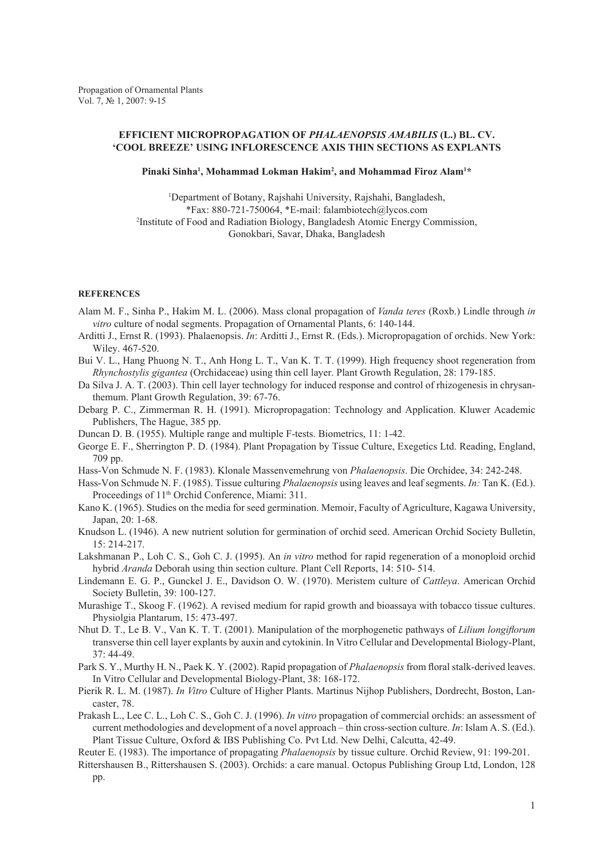## **EFFICIENT MICROPROPAGATION OF** *PHALAENOPSIS AMABILIS* **(L.) BL. CV. 'COOL BREEZE' USING INFLORESCENCE AXIS thin SECTIONS AS EXPLANTS**

## Pinaki Sinha<sup>1</sup>, Mohammad Lokman Hakim<sup>2</sup>, and Mohammad Firoz Alam<sup>1\*</sup>

1 Department of Botany, Rajshahi University, Rajshahi, Bangladesh, \*Fax: 880-721-750064, \*E-mail: falambiotech@lycos.com 2 Institute of Food and Radiation Biology, Bangladesh Atomic Energy Commission, Gonokbari, Savar, Dhaka, Bangladesh

## **REFERENCES**

- Alam M. F., Sinha P., Hakim M. L. (2006). Mass clonal propagation of *Vanda teres* (Roxb.) Lindle through *in vitro* culture of nodal segments. Propagation of Ornamental Plants, 6: 140-144.
- Arditti J., Ernst R. (1993). Phalaenopsis. *In*: Arditti J., Ernst R. (Eds.). Micropropagation of orchids. New York: Wiley. 467-520.
- Bui V. L., Hang Phuong N. T., Anh Hong L. T., Van K. T. T. (1999). High frequency shoot regeneration from *Rhynchostylis gigantea* (Orchidaceae) using thin cell layer. Plant Growth Regulation, 28: 179-185.
- Da Silva J. A. T. (2003). Thin cell layer technology for induced response and control of rhizogenesis in chrysanthemum. Plant Growth Regulation, 39: 67-76.
- Debarg P. C., Zimmerman R. H. (1991). Micropropagation: Technology and Application. Kluwer Academic Publishers, The Hague, 385 pp.
- Duncan D. B. (1955). Multiple range and multiple F-tests. Biometrics, 11: 1-42.
- George E. F., Sherrington P. D. (1984). Plant Propagation by Tissue Culture, Exegetics Ltd. Reading, England, 709 pp.
- Hass-Von Schmude N. F. (1983). Klonale Massenvemehrung von *Phalaenopsis*. Die Orchidee, 34: 242-248.
- Hass-Von Schmude N. F. (1985). Tissue culturing *Phalaenopsis* using leaves and leaf segments. *In:* Tan K. (Ed.). Proceedings of 11<sup>th</sup> Orchid Conference, Miami: 311.
- Kano K. (1965). Studies on the media for seed germination. Memoir, Faculty of Agriculture, Kagawa University, Japan, 20: 1-68.
- Knudson L. (1946). A new nutrient solution for germination of orchid seed. American Orchid Society Bulletin, 15: 214-217.
- Lakshmanan P., Loh C. S., Goh C. J. (1995). An *in vitro* method for rapid regeneration of a monoploid orchid hybrid *Aranda* Deborah using thin section culture. Plant Cell Reports, 14: 510- 514.
- Lindemann E. G. P., Gunckel J. E., Davidson O. W. (1970). Meristem culture of *Cattleya*. American Orchid Society Bulletin, 39: 100-127.
- Murashige T., Skoog F. (1962). A revised medium for rapid growth and bioassaya with tobacco tissue cultures. Physiolgia Plantarum, 15: 473-497.
- Nhut D. T., Le B. V., Van K. T. T. (2001). Manipulation of the morphogenetic pathways of *Lilium longiflorum* transverse thin cell layer explants by auxin and cytokinin. In Vitro Cellular and Developmental Biology-Plant, 37: 44-49.
- Park S. Y., Murthy H. N., Paek K. Y. (2002). Rapid propagation of *Phalaenopsis* from floral stalk-derived leaves. In Vitro Cellular and Developmental Biology-Plant, 38: 168-172.
- Pierik R. L. M. (1987). *In Vitro* Culture of Higher Plants. Martinus Nijhop Publishers, Dordrecht, Boston, Lancaster, 78.
- Prakash L., Lee C. L., Loh C. S., Goh C. J. (1996). *In vitro* propagation of commercial orchids: an assessment of current methodologies and development of a novel approach – thin cross-section culture. *In*: Islam A. S. (Ed.). Plant Tissue Culture, Oxford & IBS Publishing Co. Pvt Ltd. New Delhi, Calcutta, 42-49.

Reuter E. (1983). The importance of propagating *Phalaenopsis* by tissue culture. Orchid Review, 91: 199-201.

Rittershausen B., Rittershausen S. (2003). Orchids: a care manual. Octopus Publishing Group Ltd, London, 128 pp.